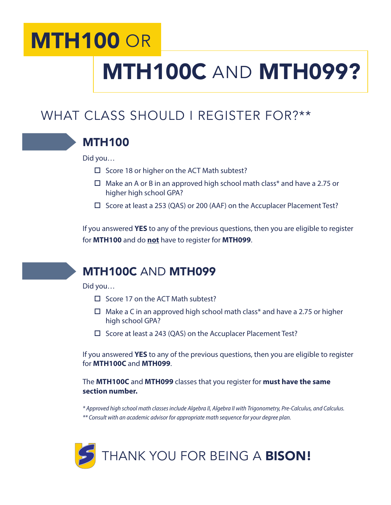## **MTH100 OR**

# MTH100C AND MTH099?

### WHAT CLASS SHOULD I REGISTER FOR?\*\*



#### MTH100

Did you…

- $\Box$  Score 18 or higher on the ACT Math subtest?
- $\Box$  Make an A or B in an approved high school math class\* and have a 2.75 or higher high school GPA?
- $\square$  Score at least a 253 (QAS) or 200 (AAF) on the Accuplacer Placement Test?

If you answered **YES** to any of the previous questions, then you are eligible to register for **MTH100** and do **not** have to register for **MTH099**.



#### MTH100C AND MTH099

Did you…

- $\Box$  Score 17 on the ACT Math subtest?
- $\Box$  Make a C in an approved high school math class\* and have a 2.75 or higher high school GPA?
- $\square$  Score at least a 243 (QAS) on the Accuplacer Placement Test?

If you answered **YES** to any of the previous questions, then you are eligible to register for **MTH100C** and **MTH099**.

The **MTH100C** and **MTH099** classes that you register for **must have the same section number.**

*\* Approved high school math classes include Algebra II, Algebra II with Trigonometry, Pre-Calculus, and Calculus. \*\* Consult with an academic advisor for appropriate math sequence for your degree plan.*

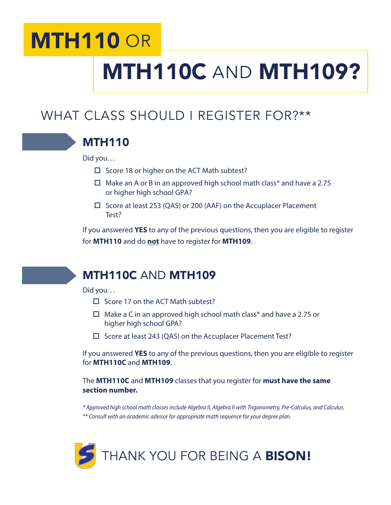## **MTH110 OR**

# **MTH110C AND MTH109?**

### WHAT CLASS SHOULD I REGISTER FOR?\*\*



#### MTH110

Did you…

- $\square$  Score 18 or higher on the ACT Math subtest?
- $\Box$  Make an A or B in an approved high school math class\* and have a 2.75 or higher high school GPA?
- $\square$  Score at least 253 (QAS) or 200 (AAF) on the Accuplacer Placement Test?

If you answered **YES** to any of the previous questions, then you are eligible to register for **MTH110** and do **not** have to register for **MTH109**.



#### MTH110C AND MTH109

Did you…

- $\square$  Score 17 on the ACT Math subtest?
- $\Box$  Make a C in an approved high school math class\* and have a 2.75 or higher high school GPA?
- $\square$  Score at least 243 (QAS) on the Accuplacer Placement Test?

If you answered **YES** to any of the previous questions, then you are eligible to register for **MTH110C** and **MTH109**.

The **MTH110C** and **MTH109** classes that you register for **must have the same section number.**

*\* Approved high school math classes include Algebra II, Algebra II with Trigonometry, Pre-Calculus, and Calculus. \*\* Consult with an academic advisor for appropriate math sequence for your degree plan.*